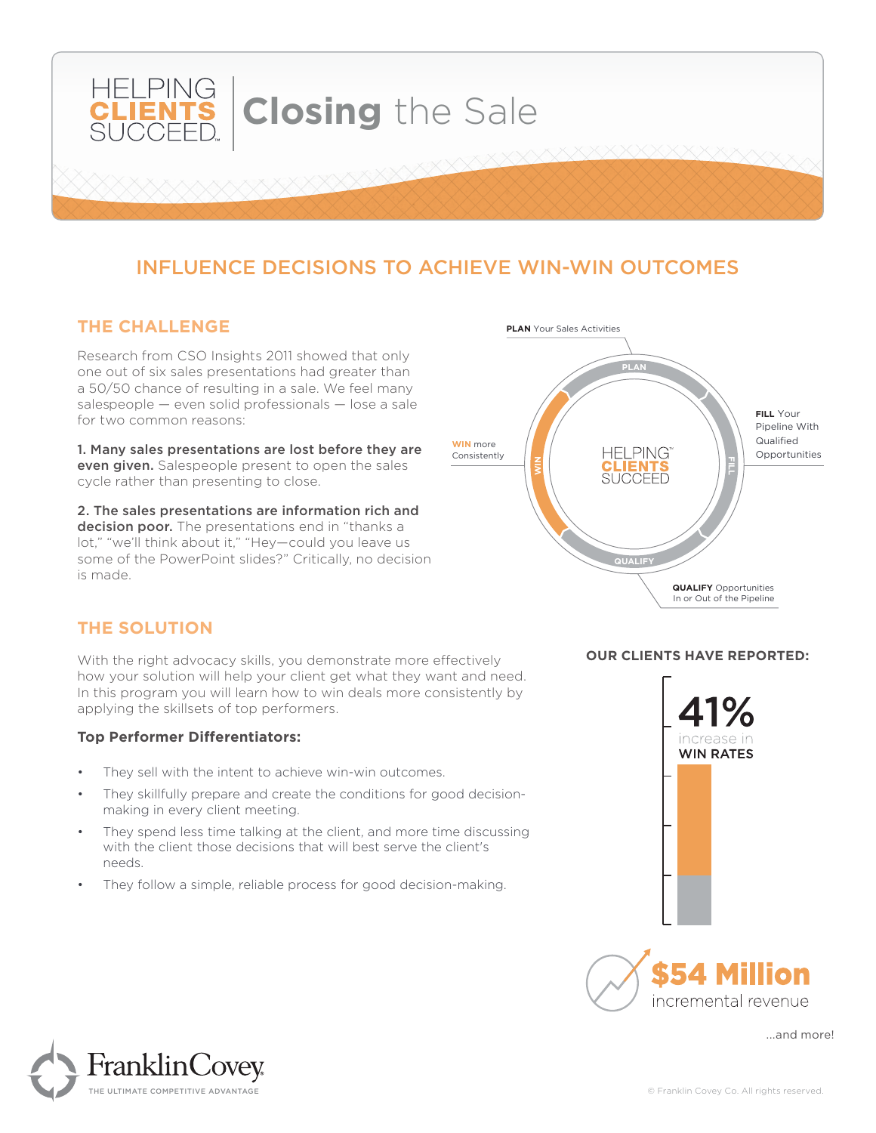

# INFLUENCE DECISIONS TO ACHIEVE WIN-WIN OUTCOMES

#### **THE CHALLENGE**

Research from CSO Insights 2011 showed that only one out of six sales presentations had greater than a 50/50 chance of resulting in a sale. We feel many salespeople — even solid professionals — lose a sale for two common reasons:

1. Many sales presentations are lost before they are even given. Salespeople present to open the sales cycle rather than presenting to close.

2. The sales presentations are information rich and decision poor. The presentations end in "thanks a lot," "we'll think about it," "Hey—could you leave us some of the PowerPoint slides?" Critically, no decision is made.



## **THE SOLUTION**

With the right advocacy skills, you demonstrate more effectively how your solution will help your client get what they want and need. In this program you will learn how to win deals more consistently by applying the skillsets of top performers.

#### **Top Performer Differentiators:**

- They sell with the intent to achieve win-win outcomes.
- They skillfully prepare and create the conditions for good decisionmaking in every client meeting.
- They spend less time talking at the client, and more time discussing with the client those decisions that will best serve the client's needs.
- They follow a simple, reliable process for good decision-making.



**OUR CLIENTS HAVE REPORTED:**



...and more!